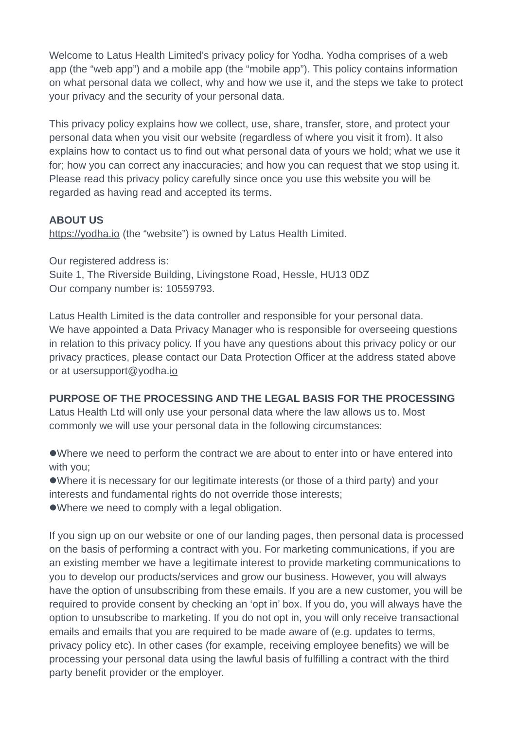Welcome to Latus Health Limited's privacy policy for Yodha. Yodha comprises of a web app (the "web app") and a mobile app (the "mobile app"). This policy contains information on what personal data we collect, why and how we use it, and the steps we take to protect your privacy and the security of your personal data.

This privacy policy explains how we collect, use, share, transfer, store, and protect your personal data when you visit our website (regardless of where you visit it from). It also explains how to contact us to find out what personal data of yours we hold; what we use it for; how you can correct any inaccuracies; and how you can request that we stop using it. Please read this privacy policy carefully since once you use this website you will be regarded as having read and accepted its terms.

### **ABOUT US**

[https://yodha.io](https://yodha.io/) (the "website") is owned by Latus Health Limited.

Our registered address is: Suite 1, The Riverside Building, Livingstone Road, Hessle, HU13 0DZ Our company number is: 10559793.

Latus Health Limited is the data controller and responsible for your personal data. We have appointed a Data Privacy Manager who is responsible for overseeing questions in relation to this privacy policy. If you have any questions about this privacy policy or our privacy practices, please contact our Data Protection Officer at the address stated above or at usersupport@yodha.jo

**PURPOSE OF THE PROCESSING AND THE LEGAL BASIS FOR THE PROCESSING** Latus Health Ltd will only use your personal data where the law allows us to. Most commonly we will use your personal data in the following circumstances:

Where we need to perform the contract we are about to enter into or have entered into with you;

Where it is necessary for our legitimate interests (or those of a third party) and your interests and fundamental rights do not override those interests:

Where we need to comply with a legal obligation.

If you sign up on our website or one of our landing pages, then personal data is processed on the basis of performing a contract with you. For marketing communications, if you are an existing member we have a legitimate interest to provide marketing communications to you to develop our products/services and grow our business. However, you will always have the option of unsubscribing from these emails. If you are a new customer, you will be required to provide consent by checking an 'opt in' box. If you do, you will always have the option to unsubscribe to marketing. If you do not opt in, you will only receive transactional emails and emails that you are required to be made aware of (e.g. updates to terms, privacy policy etc). In other cases (for example, receiving employee benefits) we will be processing your personal data using the lawful basis of fulfilling a contract with the third party benefit provider or the employer.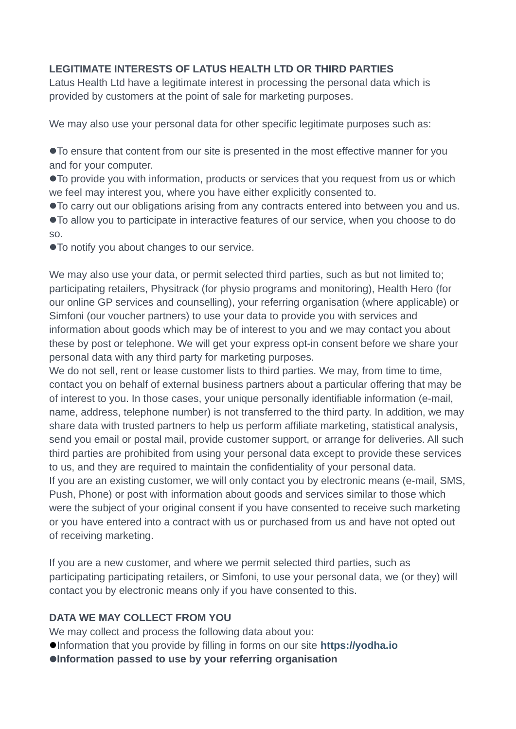## **LEGITIMATE INTERESTS OF LATUS HEALTH LTD OR THIRD PARTIES**

Latus Health Ltd have a legitimate interest in processing the personal data which is provided by customers at the point of sale for marketing purposes.

We may also use your personal data for other specific legitimate purposes such as:

To ensure that content from our site is presented in the most effective manner for you and for your computer.

To provide you with information, products or services that you request from us or which we feel may interest you, where you have either explicitly consented to.

To carry out our obligations arising from any contracts entered into between you and us.

To allow you to participate in interactive features of our service, when you choose to do so.

To notify you about changes to our service.

We may also use your data, or permit selected third parties, such as but not limited to; participating retailers, Physitrack (for physio programs and monitoring), Health Hero (for our online GP services and counselling), your referring organisation (where applicable) or Simfoni (our voucher partners) to use your data to provide you with services and information about goods which may be of interest to you and we may contact you about these by post or telephone. We will get your express opt-in consent before we share your personal data with any third party for marketing purposes.

We do not sell, rent or lease customer lists to third parties. We may, from time to time, contact you on behalf of external business partners about a particular offering that may be of interest to you. In those cases, your unique personally identifiable information (e-mail, name, address, telephone number) is not transferred to the third party. In addition, we may share data with trusted partners to help us perform affiliate marketing, statistical analysis, send you email or postal mail, provide customer support, or arrange for deliveries. All such third parties are prohibited from using your personal data except to provide these services to us, and they are required to maintain the confidentiality of your personal data. If you are an existing customer, we will only contact you by electronic means (e-mail, SMS, Push, Phone) or post with information about goods and services similar to those which were the subject of your original consent if you have consented to receive such marketing or you have entered into a contract with us or purchased from us and have not opted out of receiving marketing.

If you are a new customer, and where we permit selected third parties, such as participating participating retailers, or Simfoni, to use your personal data, we (or they) will contact you by electronic means only if you have consented to this.

# **DATA WE MAY COLLECT FROM YOU**

We may collect and process the following data about you:

- Information that you provide by filling in forms on our site **[h](https://www.rewardmenow.co.uk/)ttps://yodha.io**
- **Information passed to use by your referring organisation**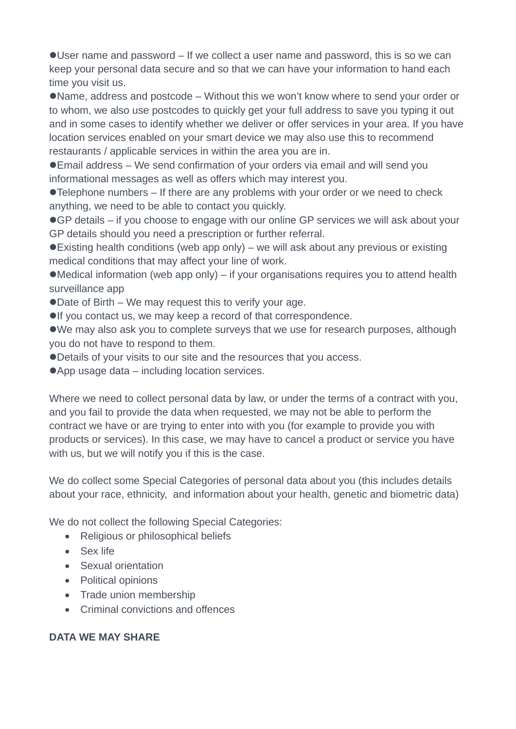User name and password – If we collect a user name and password, this is so we can keep your personal data secure and so that we can have your information to hand each time you visit us.

Name, address and postcode – Without this we won't know where to send your order or to whom, we also use postcodes to quickly get your full address to save you typing it out and in some cases to identify whether we deliver or offer services in your area. If you have location services enabled on your smart device we may also use this to recommend restaurants / applicable services in within the area you are in.

Email address – We send confirmation of your orders via email and will send you informational messages as well as offers which may interest you.

Telephone numbers – If there are any problems with your order or we need to check anything, we need to be able to contact you quickly.

● GP details – if you choose to engage with our online GP services we will ask about your GP details should you need a prescription or further referral.

Existing health conditions (web app only) – we will ask about any previous or existing medical conditions that may affect your line of work.

Medical information (web app only) – if your organisations requires you to attend health surveillance app

● Date of Birth – We may request this to verify your age.

**If you contact us, we may keep a record of that correspondence.** 

We may also ask you to complete surveys that we use for research purposes, although you do not have to respond to them.

Details of your visits to our site and the resources that you access.

● App usage data – including location services.

Where we need to collect personal data by law, or under the terms of a contract with you, and you fail to provide the data when requested, we may not be able to perform the contract we have or are trying to enter into with you (for example to provide you with products or services). In this case, we may have to cancel a product or service you have with us, but we will notify you if this is the case.

We do collect some Special Categories of personal data about you (this includes details about your race, ethnicity, and information about your health, genetic and biometric data)

We do not collect the following Special Categories:

- Religious or philosophical beliefs
- Sex life
- Sexual orientation
- Political opinions
- Trade union membership
- Criminal convictions and offences

### **DATA WE MAY SHARE**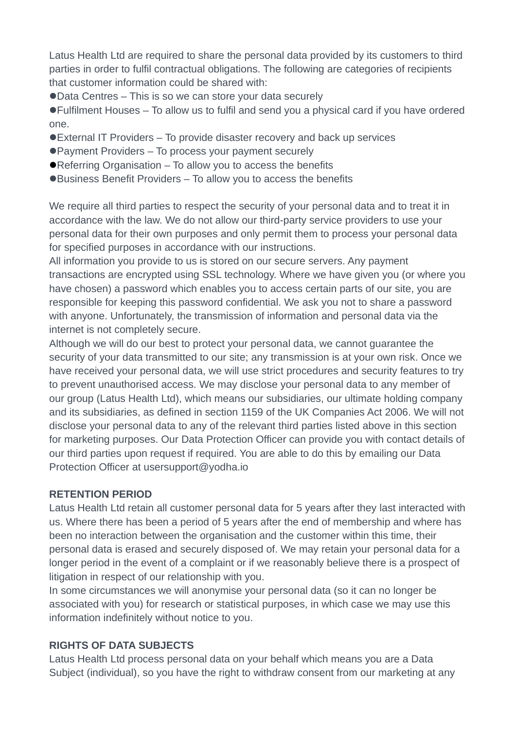Latus Health Ltd are required to share the personal data provided by its customers to third parties in order to fulfil contractual obligations. The following are categories of recipients that customer information could be shared with:

Data Centres – This is so we can store your data securely

Fulfilment Houses – To allow us to fulfil and send you a physical card if you have ordered one.

- External IT Providers To provide disaster recovery and back up services
- Payment Providers To process your payment securely
- Referring Organisation To allow you to access the benefits
- Business Benefit Providers To allow you to access the benefits

We require all third parties to respect the security of your personal data and to treat it in accordance with the law. We do not allow our third-party service providers to use your personal data for their own purposes and only permit them to process your personal data for specified purposes in accordance with our instructions.

All information you provide to us is stored on our secure servers. Any payment transactions are encrypted using SSL technology. Where we have given you (or where you have chosen) a password which enables you to access certain parts of our site, you are responsible for keeping this password confidential. We ask you not to share a password with anyone. Unfortunately, the transmission of information and personal data via the internet is not completely secure.

Although we will do our best to protect your personal data, we cannot guarantee the security of your data transmitted to our site; any transmission is at your own risk. Once we have received your personal data, we will use strict procedures and security features to try to prevent unauthorised access. We may disclose your personal data to any member of our group (Latus Health Ltd), which means our subsidiaries, our ultimate holding company and its subsidiaries, as defined in section 1159 of the UK Companies Act 2006. We will not disclose your personal data to any of the relevant third parties listed above in this section for marketing purposes. Our Data Protection Officer can provide you with contact details of our third parties upon request if required. You are able to do this by emailing our Data Protection Officer at usersupport@yodha.io

#### **RETENTION PERIOD**

Latus Health Ltd retain all customer personal data for 5 years after they last interacted with us. Where there has been a period of 5 years after the end of membership and where has been no interaction between the organisation and the customer within this time, their personal data is erased and securely disposed of. We may retain your personal data for a longer period in the event of a complaint or if we reasonably believe there is a prospect of litigation in respect of our relationship with you.

In some circumstances we will anonymise your personal data (so it can no longer be associated with you) for research or statistical purposes, in which case we may use this information indefinitely without notice to you.

#### **RIGHTS OF DATA SUBJECTS**

Latus Health Ltd process personal data on your behalf which means you are a Data Subject (individual), so you have the right to withdraw consent from our marketing at any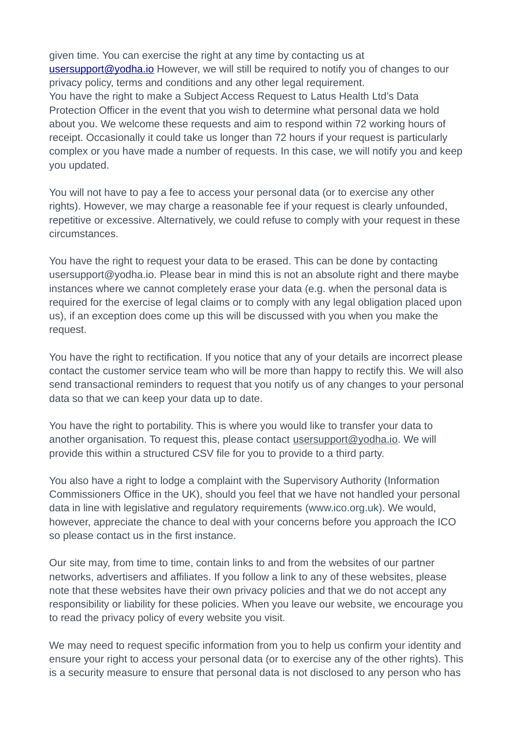given time. You can exercise the right at any time by contacting us at [usersupport@yodha.io](mailto:usersupport@yodha.io) However, we will still be required to notify you of changes to our privacy policy, terms and conditions and any other legal requirement. You have the right to make a Subject Access Request to Latus Health Ltd's Data Protection Officer in the event that you wish to determine what personal data we hold about you. We welcome these requests and aim to respond within 72 working hours of receipt. Occasionally it could take us longer than 72 hours if your request is particularly complex or you have made a number of requests. In this case, we will notify you and keep you updated.

You will not have to pay a fee to access your personal data (or to exercise any other rights). However, we may charge a reasonable fee if your request is clearly unfounded, repetitive or excessive. Alternatively, we could refuse to comply with your request in these circumstances.

You have the right to request your data to be erased. This can be done by contacting usersupport@yodha.io. Please bear in mind this is not an absolute right and there maybe instances where we cannot completely erase your data (e.g. when the personal data is required for the exercise of legal claims or to comply with any legal obligation placed upon us), if an exception does come up this will be discussed with you when you make the request.

You have the right to rectification. If you notice that any of your details are incorrect please contact the customer service team who will be more than happy to rectify this. We will also send transactional reminders to request that you notify us of any changes to your personal data so that we can keep your data up to date.

You have the right to portability. This is where you would like to transfer your data to another organisation. To request this, please contact [usersupport@yodha.io](mailto:usersupport@yodha.io). We will provide this within a structured CSV file for you to provide to a third party.

You also have a right to lodge a complaint with the Supervisory Authority (Information Commissioners Office in the UK), should you feel that we have not handled your personal data in line with legislative and regulatory requirements [\(www.ico.org.uk](https://www.ico.org.uk/)). We would, however, appreciate the chance to deal with your concerns before you approach the ICO so please contact us in the first instance.

Our site may, from time to time, contain links to and from the websites of our partner networks, advertisers and affiliates. If you follow a link to any of these websites, please note that these websites have their own privacy policies and that we do not accept any responsibility or liability for these policies. When you leave our website, we encourage you to read the privacy policy of every website you visit.

We may need to request specific information from you to help us confirm your identity and ensure your right to access your personal data (or to exercise any of the other rights). This is a security measure to ensure that personal data is not disclosed to any person who has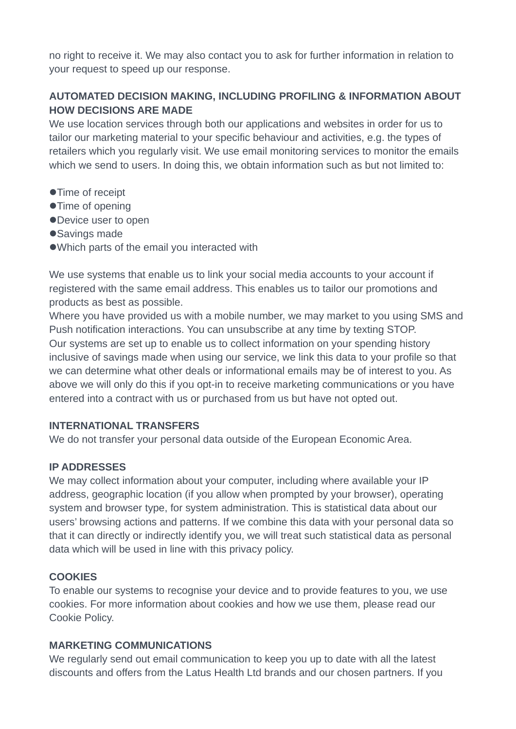no right to receive it. We may also contact you to ask for further information in relation to your request to speed up our response.

# **AUTOMATED DECISION MAKING, INCLUDING PROFILING & INFORMATION ABOUT HOW DECISIONS ARE MADE**

We use location services through both our applications and websites in order for us to tailor our marketing material to your specific behaviour and activities, e.g. the types of retailers which you regularly visit. We use email monitoring services to monitor the emails which we send to users. In doing this, we obtain information such as but not limited to:

- Time of receipt
- Time of opening
- Device user to open
- Savings made
- Which parts of the email you interacted with

We use systems that enable us to link your social media accounts to your account if registered with the same email address. This enables us to tailor our promotions and products as best as possible.

Where you have provided us with a mobile number, we may market to you using SMS and Push notification interactions. You can unsubscribe at any time by texting STOP. Our systems are set up to enable us to collect information on your spending history inclusive of savings made when using our service, we link this data to your profile so that we can determine what other deals or informational emails may be of interest to you. As above we will only do this if you opt-in to receive marketing communications or you have entered into a contract with us or purchased from us but have not opted out.

#### **INTERNATIONAL TRANSFERS**

We do not transfer your personal data outside of the European Economic Area.

### **IP ADDRESSES**

We may collect information about your computer, including where available your IP address, geographic location (if you allow when prompted by your browser), operating system and browser type, for system administration. This is statistical data about our users' browsing actions and patterns. If we combine this data with your personal data so that it can directly or indirectly identify you, we will treat such statistical data as personal data which will be used in line with this privacy policy.

### **COOKIES**

To enable our systems to recognise your device and to provide features to you, we use cookies. For more information about cookies and how we use them, please read our Cookie Policy.

#### **MARKETING COMMUNICATIONS**

We regularly send out email communication to keep you up to date with all the latest discounts and offers from the Latus Health Ltd brands and our chosen partners. If you